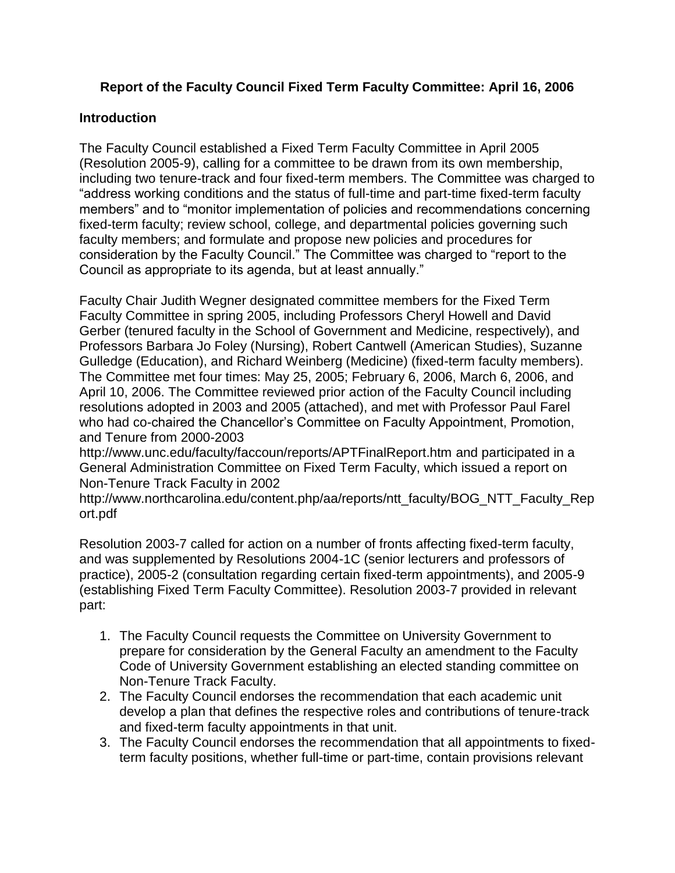# **Report of the Faculty Council Fixed Term Faculty Committee: April 16, 2006**

### **Introduction**

The Faculty Council established a Fixed Term Faculty Committee in April 2005 (Resolution 2005-9), calling for a committee to be drawn from its own membership, including two tenure-track and four fixed-term members. The Committee was charged to "address working conditions and the status of full-time and part-time fixed-term faculty members" and to "monitor implementation of policies and recommendations concerning fixed-term faculty; review school, college, and departmental policies governing such faculty members; and formulate and propose new policies and procedures for consideration by the Faculty Council." The Committee was charged to "report to the Council as appropriate to its agenda, but at least annually."

Faculty Chair Judith Wegner designated committee members for the Fixed Term Faculty Committee in spring 2005, including Professors Cheryl Howell and David Gerber (tenured faculty in the School of Government and Medicine, respectively), and Professors Barbara Jo Foley (Nursing), Robert Cantwell (American Studies), Suzanne Gulledge (Education), and Richard Weinberg (Medicine) (fixed-term faculty members). The Committee met four times: May 25, 2005; February 6, 2006, March 6, 2006, and April 10, 2006. The Committee reviewed prior action of the Faculty Council including resolutions adopted in 2003 and 2005 (attached), and met with Professor Paul Farel who had co-chaired the Chancellor's Committee on Faculty Appointment, Promotion, and Tenure from 2000-2003

<http://www.unc.edu/faculty/faccoun/reports/APTFinalReport.htm> and participated in a General Administration Committee on Fixed Term Faculty, which issued a report on Non-Tenure Track Faculty in 2002

[http://www.northcarolina.edu/content.php/aa/reports/ntt\\_faculty/BOG\\_NTT\\_Faculty\\_Rep](http://www.northcarolina.edu/content.php/aa/reports/ntt_faculty/BOG_NTT_Faculty_Report.pdf) [ort.pdf](http://www.northcarolina.edu/content.php/aa/reports/ntt_faculty/BOG_NTT_Faculty_Report.pdf) 

[Resolution 2003-7 c](http://www.unc.edu/faculty/faccoun/resolutions/Res2003-7_Final.htm)alled for action on a number of fronts affecting fixed-term faculty, and was supplemented by Resolutions 2004-1C (senior lecturers and professors of practice), 2005-2 (consultation regarding certain fixed-term appointments), and 2005-9 (establishing Fixed Term Faculty Committee). Resolution 2003-7 provided in relevant part:

- 1. The Faculty Council requests the Committee on University Government to prepare for consideration by the General Faculty an amendment to the Faculty Code of University Government establishing an elected standing committee on Non-Tenure Track Faculty.
- 2. The Faculty Council endorses the recommendation that each academic unit develop a plan that defines the respective roles and contributions of tenure-track and fixed-term faculty appointments in that unit.
- 3. The Faculty Council endorses the recommendation that all appointments to fixedterm faculty positions, whether full-time or part-time, contain provisions relevant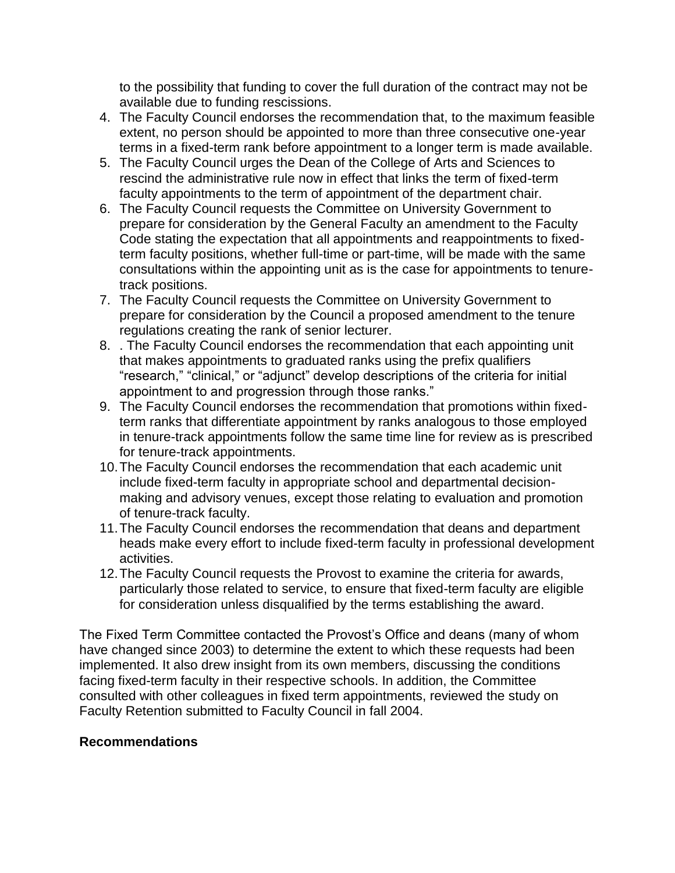to the possibility that funding to cover the full duration of the contract may not be available due to funding rescissions.

- 4. The Faculty Council endorses the recommendation that, to the maximum feasible extent, no person should be appointed to more than three consecutive one-year terms in a fixed-term rank before appointment to a longer term is made available.
- 5. The Faculty Council urges the Dean of the College of Arts and Sciences to rescind the administrative rule now in effect that links the term of fixed-term faculty appointments to the term of appointment of the department chair.
- 6. The Faculty Council requests the Committee on University Government to prepare for consideration by the General Faculty an amendment to the Faculty Code stating the expectation that all appointments and reappointments to fixedterm faculty positions, whether full-time or part-time, will be made with the same consultations within the appointing unit as is the case for appointments to tenuretrack positions.
- 7. The Faculty Council requests the Committee on University Government to prepare for consideration by the Council a proposed amendment to the tenure regulations creating the rank of senior lecturer.
- 8. . The Faculty Council endorses the recommendation that each appointing unit that makes appointments to graduated ranks using the prefix qualifiers "research," "clinical," or "adjunct" develop descriptions of the criteria for initial appointment to and progression through those ranks."
- 9. The Faculty Council endorses the recommendation that promotions within fixedterm ranks that differentiate appointment by ranks analogous to those employed in tenure-track appointments follow the same time line for review as is prescribed for tenure-track appointments.
- 10.The Faculty Council endorses the recommendation that each academic unit include fixed-term faculty in appropriate school and departmental decisionmaking and advisory venues, except those relating to evaluation and promotion of tenure-track faculty.
- 11.The Faculty Council endorses the recommendation that deans and department heads make every effort to include fixed-term faculty in professional development activities.
- 12.The Faculty Council requests the Provost to examine the criteria for awards, particularly those related to service, to ensure that fixed-term faculty are eligible for consideration unless disqualified by the terms establishing the award.

The Fixed Term Committee contacted the Provost's Office and deans (many of whom have changed since 2003) to determine the extent to which these requests had been implemented. It also drew insight from its own members, discussing the conditions facing fixed-term faculty in their respective schools. In addition, the Committee consulted with other colleagues in fixed term appointments, reviewed the study on Faculty Retention submitted to Faculty Council in fall 2004.

## **Recommendations**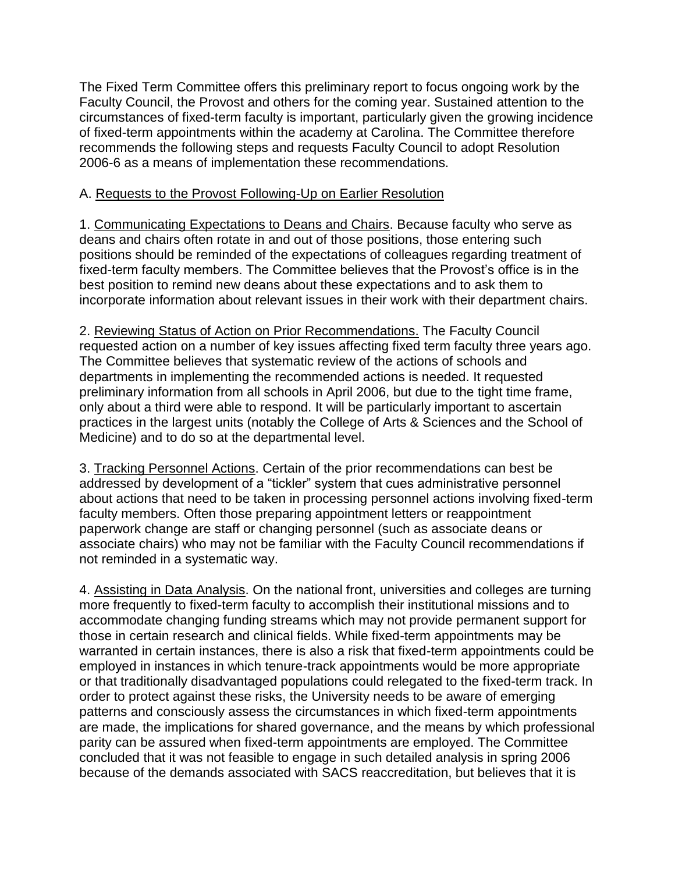The Fixed Term Committee offers this preliminary report to focus ongoing work by the Faculty Council, the Provost and others for the coming year. Sustained attention to the circumstances of fixed-term faculty is important, particularly given the growing incidence of fixed-term appointments within the academy at Carolina. The Committee therefore recommends the following steps and requests Faculty Council to adopt Resolution 2006-6 as a means of implementation these recommendations.

#### A. Requests to the Provost Following-Up on Earlier Resolution

1. Communicating Expectations to Deans and Chairs. Because faculty who serve as deans and chairs often rotate in and out of those positions, those entering such positions should be reminded of the expectations of colleagues regarding treatment of fixed-term faculty members. The Committee believes that the Provost's office is in the best position to remind new deans about these expectations and to ask them to incorporate information about relevant issues in their work with their department chairs.

2. Reviewing Status of Action on Prior Recommendations. The Faculty Council requested action on a number of key issues affecting fixed term faculty three years ago. The Committee believes that systematic review of the actions of schools and departments in implementing the recommended actions is needed. It requested preliminary information from all schools in April 2006, but due to the tight time frame, only about a third were able to respond. It will be particularly important to ascertain practices in the largest units (notably the College of Arts & Sciences and the School of Medicine) and to do so at the departmental level.

3. Tracking Personnel Actions. Certain of the prior recommendations can best be addressed by development of a "tickler" system that cues administrative personnel about actions that need to be taken in processing personnel actions involving fixed-term faculty members. Often those preparing appointment letters or reappointment paperwork change are staff or changing personnel (such as associate deans or associate chairs) who may not be familiar with the Faculty Council recommendations if not reminded in a systematic way.

4. Assisting in Data Analysis. On the national front, universities and colleges are turning more frequently to fixed-term faculty to accomplish their institutional missions and to accommodate changing funding streams which may not provide permanent support for those in certain research and clinical fields. While fixed-term appointments may be warranted in certain instances, there is also a risk that fixed-term appointments could be employed in instances in which tenure-track appointments would be more appropriate or that traditionally disadvantaged populations could relegated to the fixed-term track. In order to protect against these risks, the University needs to be aware of emerging patterns and consciously assess the circumstances in which fixed-term appointments are made, the implications for shared governance, and the means by which professional parity can be assured when fixed-term appointments are employed. The Committee concluded that it was not feasible to engage in such detailed analysis in spring 2006 because of the demands associated with SACS reaccreditation, but believes that it is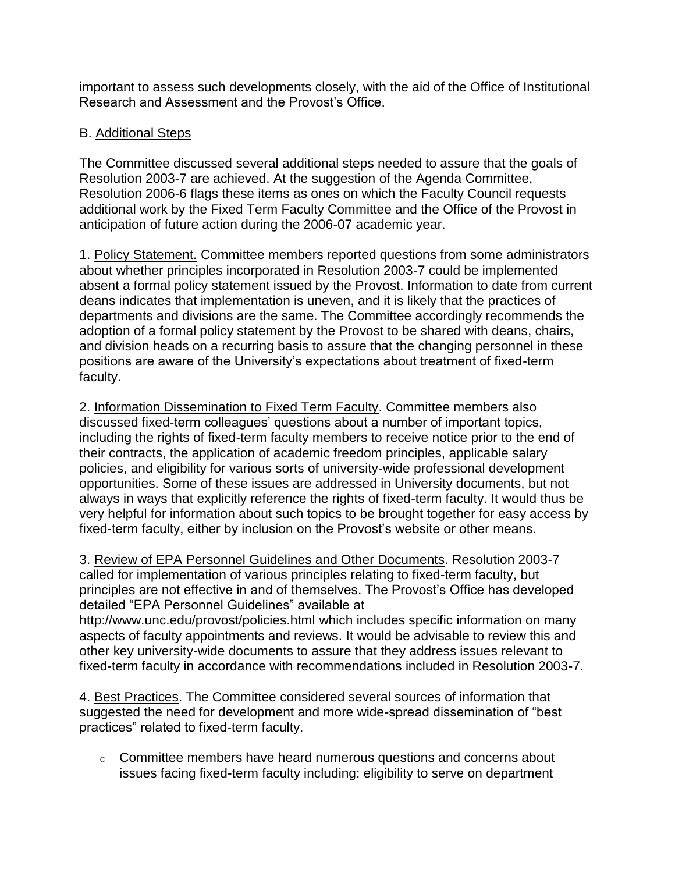important to assess such developments closely, with the aid of the Office of Institutional Research and Assessment and the Provost's Office.

# B. Additional Steps

The Committee discussed several additional steps needed to assure that the goals of Resolution 2003-7 are achieved. At the suggestion of the Agenda Committee, Resolution 2006-6 flags these items as ones on which the Faculty Council requests additional work by the Fixed Term Faculty Committee and the Office of the Provost in anticipation of future action during the 2006-07 academic year.

1. Policy Statement. Committee members reported questions from some administrators about whether principles incorporated in Resolution 2003-7 could be implemented absent a formal policy statement issued by the Provost. Information to date from current deans indicates that implementation is uneven, and it is likely that the practices of departments and divisions are the same. The Committee accordingly recommends the adoption of a formal policy statement by the Provost to be shared with deans, chairs, and division heads on a recurring basis to assure that the changing personnel in these positions are aware of the University's expectations about treatment of fixed-term faculty.

2. Information Dissemination to Fixed Term Faculty. Committee members also discussed fixed-term colleagues' questions about a number of important topics, including the rights of fixed-term faculty members to receive notice prior to the end of their contracts, the application of academic freedom principles, applicable salary policies, and eligibility for various sorts of university-wide professional development opportunities. Some of these issues are addressed in University documents, but not always in ways that explicitly reference the rights of fixed-term faculty. It would thus be very helpful for information about such topics to be brought together for easy access by fixed-term faculty, either by inclusion on the Provost's website or other means.

3. Review of EPA Personnel Guidelines and Other Documents. [Resolution 2003-7](http://www.unc.edu/faculty/faccoun/resolutions/Res2003-7_Final.htm) called for implementation of various principles relating to fixed-term faculty, but principles are not effective in and of themselves. The Provost's Office has developed detailed "EPA Personnel Guidelines" available at

<http://www.unc.edu/provost/policies.html> which includes specific information on many aspects of faculty appointments and reviews. It would be advisable to review this and other key university-wide documents to assure that they address issues relevant to fixed-term faculty in accordance with recommendations included in Resolution 2003-7.

4. Best Practices. The Committee considered several sources of information that suggested the need for development and more wide-spread dissemination of "best practices" related to fixed-term faculty.

o Committee members have heard numerous questions and concerns about issues facing fixed-term faculty including: eligibility to serve on department